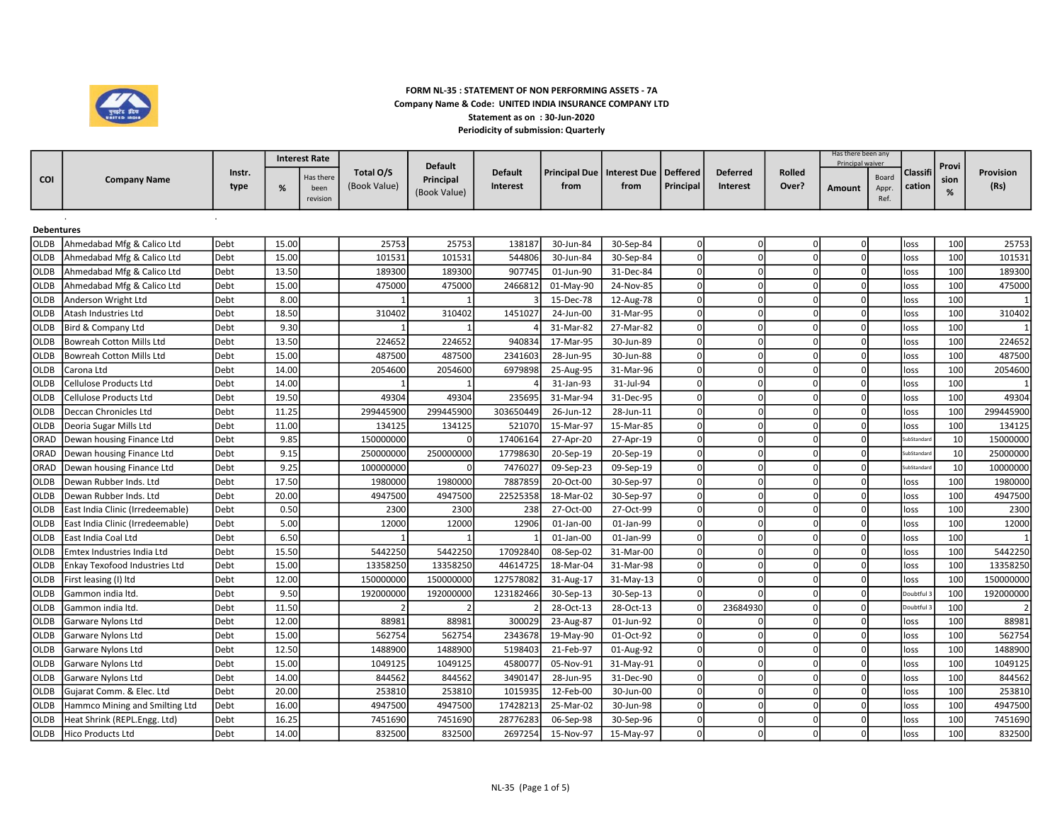

## FORM NL-35 : STATEMENT OF NON PERFORMING ASSETS - 7A Company Name & Code: UNITED INDIA INSURANCE COMPANY LTD Statement as on : 30-Jun-2020 Periodicity of submission: Quarterly

|                   |                                  |        |       | <b>Interest Rate</b> |              |                |                 |                              |           |                 |                 |                | Has there been any |               |                    |       |           |
|-------------------|----------------------------------|--------|-------|----------------------|--------------|----------------|-----------------|------------------------------|-----------|-----------------|-----------------|----------------|--------------------|---------------|--------------------|-------|-----------|
|                   |                                  | Instr. |       |                      | Total O/S    | <b>Default</b> | <b>Default</b>  | Principal Due   Interest Due |           | <b>Deffered</b> | <b>Deferred</b> | Rolled         | Principal waiver   |               | Classifi           | Provi | Provision |
| <b>COI</b>        | <b>Company Name</b>              |        |       | Has there            |              | Principal      | <b>Interest</b> | from                         | from      |                 | <b>Interest</b> | Over?          |                    | Board         |                    | sion  | (Rs)      |
|                   |                                  | type   | %     | been<br>revision     | (Book Value) | (Book Value)   |                 |                              |           | Principal       |                 |                | <b>Amount</b>      | Appr.<br>Ref. | cation             | %     |           |
|                   |                                  |        |       |                      |              |                |                 |                              |           |                 |                 |                |                    |               |                    |       |           |
| <b>Debentures</b> |                                  |        |       |                      |              |                |                 |                              |           |                 |                 |                |                    |               |                    |       |           |
| <b>OLDB</b>       | Ahmedabad Mfg & Calico Ltd       | Debt   | 15.00 |                      | 25753        | 25753          | 138187          | 30-Jun-84                    | 30-Sep-84 | $\Omega$        | $\Omega$        | $\Omega$       |                    |               | loss               | 100   | 25753     |
| <b>OLDB</b>       | Ahmedabad Mfg & Calico Ltd       | Debt   | 15.00 |                      | 101531       | 101531         | 544806          | 30-Jun-84                    | 30-Sep-84 |                 | $\Omega$        |                |                    |               | loss               | 100   | 101531    |
| <b>OLDB</b>       | Ahmedabad Mfg & Calico Ltd       | Debt   | 13.50 |                      | 189300       | 189300         | 907745          | 01-Jun-90                    | 31-Dec-84 |                 | $\Omega$        | $\Omega$       |                    |               | loss               | 100   | 189300    |
| <b>OLDB</b>       | Ahmedabad Mfg & Calico Ltd       | Debt   | 15.00 |                      | 475000       | 475000         | 2466812         | 01-May-90                    | 24-Nov-85 |                 | $\Omega$        |                |                    |               | loss               | 100   | 475000    |
| <b>OLDB</b>       | Anderson Wright Ltd              | Debt   | 8.00  |                      |              |                |                 | 15-Dec-78                    | 12-Aug-78 | $\mathsf{C}$    | $\mathbf{0}$    | $\Omega$       |                    |               | loss               | 100   |           |
| <b>OLDB</b>       | Atash Industries Ltd             | Debt   | 18.50 |                      | 310402       | 310402         | 1451027         | 24-Jun-00                    | 31-Mar-95 |                 | $\Omega$        |                |                    |               | loss               | 100   | 310402    |
| <b>OLDB</b>       | Bird & Company Ltd               | Debt   | 9.30  |                      |              |                |                 | 31-Mar-82                    | 27-Mar-82 | C               | $\Omega$        | $\Omega$       |                    |               | loss               | 100   |           |
| <b>OLDB</b>       | Bowreah Cotton Mills Ltd         | Debt   | 13.50 |                      | 224652       | 224652         | 940834          | 17-Mar-95                    | 30-Jun-89 | $\mathsf{C}$    | $\Omega$        | $\Omega$       |                    |               | loss               | 100   | 224652    |
| <b>OLDB</b>       | Bowreah Cotton Mills Ltd         | Debt   | 15.00 |                      | 487500       | 487500         | 2341603         | 28-Jun-95                    | 30-Jun-88 | $\Omega$        | $\overline{0}$  | $\Omega$       |                    |               | loss               | 100   | 487500    |
| <b>OLDB</b>       | Carona Ltd                       | Debt   | 14.00 |                      | 2054600      | 2054600        | 6979898         | 25-Aug-95                    | 31-Mar-96 | ſ               | $\Omega$        | $\Omega$       |                    |               | loss               | 100   | 2054600   |
| <b>OLDB</b>       | Cellulose Products Ltd           | Debt   | 14.00 |                      |              |                |                 | 31-Jan-93                    | 31-Jul-94 | $\sqrt{ }$      | $\Omega$        | $\Omega$       |                    |               | loss               | 100   |           |
| <b>OLDB</b>       | Cellulose Products Ltd           | Debt   | 19.50 |                      | 49304        | 49304          | 235695          | 31-Mar-94                    | 31-Dec-95 | $\Omega$        | $\Omega$        | $\overline{0}$ |                    |               | loss               | 100   | 49304     |
| <b>OLDB</b>       | Deccan Chronicles Ltd            | Debt   | 11.25 |                      | 299445900    | 299445900      | 303650449       | 26-Jun-12                    | 28-Jun-11 | $\Omega$        | $\Omega$        | $\Omega$       |                    |               | loss               | 100   | 299445900 |
| <b>OLDB</b>       | Deoria Sugar Mills Ltd           | Debt   | 11.00 |                      | 134125       | 134125         | 521070          | 15-Mar-97                    | 15-Mar-85 | $\Omega$        | $\Omega$        | $\Omega$       |                    |               | loss               | 100   | 134125    |
| ORAD              | Dewan housing Finance Ltd        | Debt   | 9.85  |                      | 150000000    | $\Omega$       | 17406164        | 27-Apr-20                    | 27-Apr-19 |                 | $\Omega$        | $\Omega$       |                    |               | iubStandar         | 10    | 15000000  |
| ORAD              | Dewan housing Finance Ltd        | Debt   | 9.15  |                      | 250000000    | 250000000      | 17798630        | 20-Sep-19                    | 20-Sep-19 |                 | $\Omega$        | $\Omega$       |                    |               | <b>subStandard</b> | 10    | 25000000  |
| ORAD              | Dewan housing Finance Ltd        | Debt   | 9.25  |                      | 100000000    | $\Omega$       | 7476027         | 09-Sep-23                    | 09-Sep-19 | $\mathsf{C}$    | $\Omega$        |                |                    |               | iubStandard        | 10    | 10000000  |
| <b>OLDB</b>       | Dewan Rubber Inds. Ltd           | Debt   | 17.50 |                      | 1980000      | 1980000        | 7887859         | 20-Oct-00                    | 30-Sep-97 | n               | $\Omega$        | n              |                    |               | loss               | 100   | 1980000   |
| <b>OLDB</b>       | Dewan Rubber Inds. Ltd           | Debt   | 20.00 |                      | 4947500      | 4947500        | 22525358        | 18-Mar-02                    | 30-Sep-97 |                 | $\Omega$        |                |                    |               | loss               | 100   | 4947500   |
| <b>OLDB</b>       | East India Clinic (Irredeemable) | Debt   | 0.50  |                      | 2300         | 2300           | 238             | 27-Oct-00                    | 27-Oct-99 | n               | $\Omega$        | n              |                    |               | loss               | 100   | 2300      |
| <b>OLDB</b>       | East India Clinic (Irredeemable) | Debt   | 5.00  |                      | 12000        | 12000          | 12906           | 01-Jan-00                    | 01-Jan-99 |                 | $\Omega$        |                |                    |               | loss               | 100   | 12000     |
| <b>OLDB</b>       | East India Coal Ltd              | Debt   | 6.50  |                      |              |                |                 | 01-Jan-00                    | 01-Jan-99 | $\Omega$        | $\mathbf{0}$    | $\Omega$       | U                  |               | loss               | 100   |           |
| <b>OLDB</b>       | Emtex Industries India Ltd       | Debt   | 15.50 |                      | 5442250      | 5442250        | 17092840        | 08-Sep-02                    | 31-Mar-00 |                 | $\Omega$        |                |                    |               | loss               | 100   | 5442250   |
| <b>OLDB</b>       | Enkay Texofood Industries Ltd    | Debt   | 15.00 |                      | 13358250     | 13358250       | 44614725        | 18-Mar-04                    | 31-Mar-98 |                 | $\Omega$        | $\Omega$       |                    |               | loss               | 100   | 13358250  |
| <b>OLDB</b>       | First leasing (I) ltd            | Debt   | 12.00 |                      | 150000000    | 150000000      | 127578082       | 31-Aug-17                    | 31-May-13 | $\Omega$        | $\Omega$        |                |                    |               | loss               | 100   | 150000000 |
| <b>OLDB</b>       | Gammon india ltd.                | Debt   | 9.50  |                      | 192000000    | 192000000      | 123182466       | 30-Sep-13                    | 30-Sep-13 | $\Omega$        | $\Omega$        | n              |                    |               | Doubtful:          | 100   | 192000000 |
| <b>OLDB</b>       | Gammon india ltd.                | Debt   | 11.50 |                      |              |                |                 | 28-Oct-13                    | 28-Oct-13 |                 | 23684930        |                |                    |               | Doubtful           | 100   |           |
| <b>OLDB</b>       | Garware Nylons Ltd               | Debt   | 12.00 |                      | 88981        | 88981          | 300029          | 23-Aug-87                    | 01-Jun-92 | $\mathsf{C}$    | $\Omega$        | $\Omega$       |                    |               | loss               | 100   | 88981     |
| <b>OLDB</b>       | Garware Nylons Ltd               | Debt   | 15.00 |                      | 562754       | 562754         | 2343678         | 19-May-90                    | 01-Oct-92 | $\Omega$        | $\Omega$        | $\Omega$       |                    |               | loss               | 100   | 562754    |
| <b>OLDB</b>       | Garware Nylons Ltd               | Debt   | 12.50 |                      | 1488900      | 1488900        | 5198403         | 21-Feb-97                    | 01-Aug-92 | $\Omega$        | $\Omega$        | $\Omega$       |                    |               | loss               | 100   | 1488900   |
| <b>OLDB</b>       | Garware Nylons Ltd               | Debt   | 15.00 |                      | 1049125      | 1049125        | 4580077         | 05-Nov-91                    | 31-May-91 | $\Omega$        | $\Omega$        | $\overline{0}$ |                    |               | loss               | 100   | 1049125   |
| <b>OLDB</b>       | Garware Nylons Ltd               | Debt   | 14.00 |                      | 844562       | 844562         | 3490147         | 28-Jun-95                    | 31-Dec-90 | $\sqrt{ }$      | $\Omega$        | $\Omega$       |                    |               | loss               | 100   | 844562    |
| <b>OLDB</b>       | Gujarat Comm. & Elec. Ltd        | Debt   | 20.00 |                      | 253810       | 253810         | 1015935         | 12-Feb-00                    | 30-Jun-00 | $\Omega$        | $\Omega$        | $\Omega$       |                    |               | loss               | 100   | 253810    |
| <b>OLDB</b>       | Hammco Mining and Smilting Ltd   | Debt   | 16.00 |                      | 4947500      | 4947500        | 17428213        | 25-Mar-02                    | 30-Jun-98 | $\Omega$        | $\Omega$        | റ              |                    |               | loss               | 100   | 4947500   |
| <b>OLDB</b>       | Heat Shrink (REPL.Engg. Ltd)     | Debt   | 16.25 |                      | 7451690      | 7451690        | 28776283        | 06-Sep-98                    | 30-Sep-96 |                 | $\Omega$        | $\Omega$       |                    |               | loss               | 100   | 7451690   |
| <b>OLDB</b>       | Hico Products Ltd                | Debt   | 14.00 |                      | 832500       | 832500         | 2697254         | 15-Nov-97                    | 15-May-97 |                 |                 |                |                    |               | loss               | 100   | 832500    |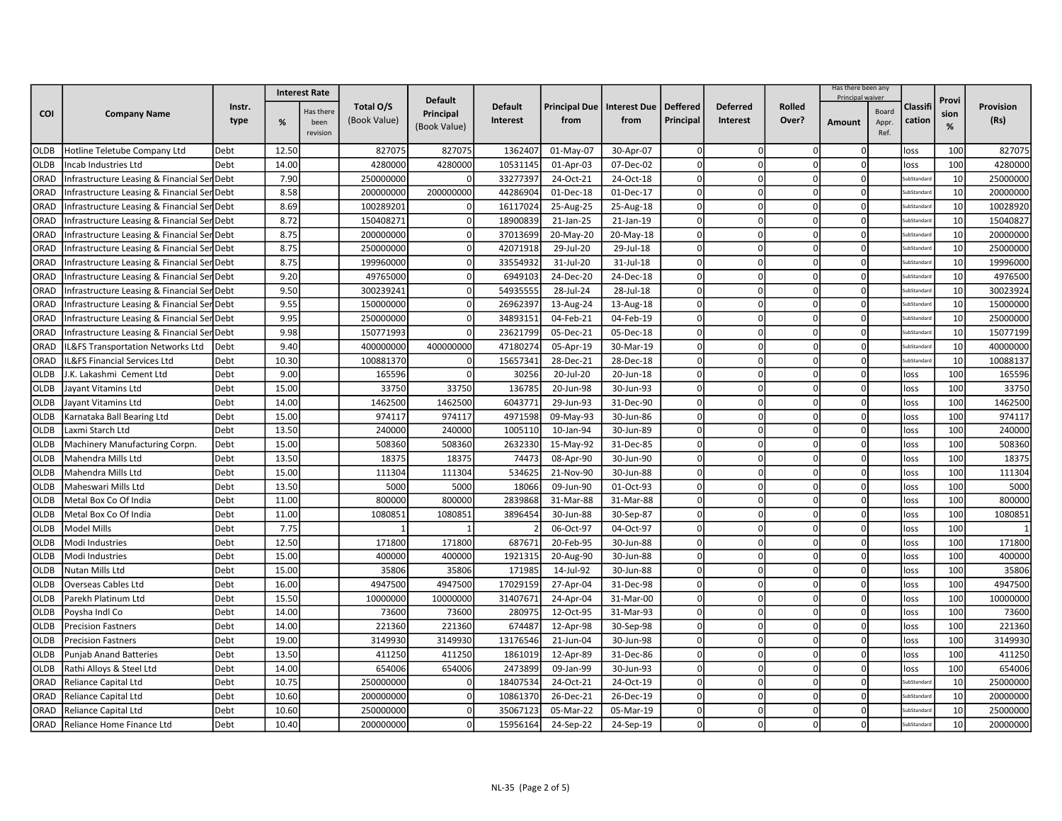|             |                                             |        | <b>Interest Rate</b> |           |              |                           |                |                                         |           |            |                 |                | Has there been any<br>Principal waiver |       |                    |           |           |
|-------------|---------------------------------------------|--------|----------------------|-----------|--------------|---------------------------|----------------|-----------------------------------------|-----------|------------|-----------------|----------------|----------------------------------------|-------|--------------------|-----------|-----------|
|             |                                             | Instr. |                      | Has there | Total O/S    | <b>Default</b>            | <b>Default</b> | Principal Due   Interest Due   Deffered |           |            | <b>Deferred</b> | <b>Rolled</b>  |                                        | Board | Classif            | Provi     | Provision |
| <b>COI</b>  | <b>Company Name</b>                         | type   | %                    | been      | (Book Value) | Principal<br>(Book Value) | Interest       | from                                    | from      | Principal  | Interest        | Over?          | Amount                                 | Appr. | cation             | sion<br>% | (Rs)      |
|             |                                             |        |                      | revision  |              |                           |                |                                         |           |            |                 |                |                                        | Ref.  |                    |           |           |
| <b>OLDB</b> | Hotline Teletube Company Ltd                | Debt   | 12.50                |           | 827075       | 827075                    | 1362407        | 01-May-07                               | 30-Apr-07 |            | $\Omega$        |                |                                        |       | loss               | 100       | 827075    |
| OLDB        | Incab Industries Ltd                        | Debt   | 14.00                |           | 4280000      | 4280000                   | 10531145       | 01-Apr-03                               | 07-Dec-02 |            | $\Omega$        |                |                                        |       | loss               | 100       | 4280000   |
| ORAD        | Infrastructure Leasing & Financial Ser      | Debt   | 7.90                 |           | 250000000    | $\Omega$                  | 33277397       | 24-Oct-21                               | 24-Oct-18 | $\Omega$   | $\Omega$        | $\overline{0}$ | n                                      |       | <b>SubStandard</b> | 10        | 25000000  |
| ORAD        | Infrastructure Leasing & Financial Se       | Debt   | 8.58                 |           | 200000000    | 200000000                 | 44286904       | 01-Dec-18                               | 01-Dec-17 | $\Omega$   | $\Omega$        | $\Omega$       |                                        |       | iubStandar         | 10        | 20000000  |
| ORAD        | Infrastructure Leasing & Financial Ser      | Debt   | 8.69                 |           | 100289201    | $\mathbf 0$               | 16117024       | 25-Aug-25                               | 25-Aug-18 | $\Omega$   | $\Omega$        | $\Omega$       | $\cap$                                 |       | <b>SubStandar</b>  | 10        | 10028920  |
| ORAD        | Infrastructure Leasing & Financial Ser Debt |        | 8.72                 |           | 150408271    | $\Omega$                  | 18900839       | 21-Jan-25                               | 21-Jan-19 |            | $\Omega$        | $\Omega$       |                                        |       | iubStandar         | 10        | 15040827  |
| ORAD        | Infrastructure Leasing & Financial Ser Debt |        | 8.75                 |           | 200000000    | $\mathbf 0$               | 37013699       | 20-May-20                               | 20-May-18 | $\Omega$   | $\Omega$        | $\Omega$       |                                        |       | <b>SubStandard</b> | 10        | 20000000  |
| ORAD        | Infrastructure Leasing & Financial Ser Debt |        | 8.75                 |           | 250000000    | $\Omega$                  | 42071918       | 29-Jul-20                               | 29-Jul-18 | $\Omega$   | $\Omega$        | $\Omega$       | $\Omega$                               |       | <b>SubStandard</b> | 10        | 25000000  |
| ORAD        | Infrastructure Leasing & Financial Ser Debt |        | 8.75                 |           | 199960000    | $\Omega$                  | 33554932       | 31-Jul-20                               | 31-Jul-18 | $\Omega$   | $\Omega$        | $\Omega$       |                                        |       | <b>SubStandar</b>  | 10        | 19996000  |
| ORAD        | nfrastructure Leasing & Financial Ser       | Debt   | 9.20                 |           | 49765000     | $\Omega$                  | 6949103        | 24-Dec-20                               | 24-Dec-18 | $\Omega$   | $\Omega$        | $\Omega$       |                                        |       | <b>SubStandar</b>  | 10        | 4976500   |
| ORAD        | Infrastructure Leasing & Financial Ser Debt |        | 9.50                 |           | 300239241    | $\Omega$                  | 54935555       | 28-Jul-24                               | 28-Jul-18 | $\Omega$   | $\Omega$        |                |                                        |       | iubStandard        | 10        | 30023924  |
| ORAD        | Infrastructure Leasing & Financial Ser      | Debt   | 9.55                 |           | 150000000    | $\Omega$                  | 26962397       | 13-Aug-24                               | 13-Aug-18 | $\Omega$   | $\Omega$        | $\Omega$       | n                                      |       | SubStandard        | 10        | 15000000  |
| ORAD        | Infrastructure Leasing & Financial Se       | Debt   | 9.95                 |           | 250000000    | $\Omega$                  | 34893151       | 04-Feb-21                               | 04-Feb-19 | $\Omega$   | $\Omega$        | $\Omega$       |                                        |       | <b>SubStandare</b> | 10        | 25000000  |
| ORAD        | Infrastructure Leasing & Financial Ser      | Debt   | 9.98                 |           | 150771993    | $\Omega$                  | 23621799       | 05-Dec-21                               | 05-Dec-18 | $\Omega$   | $\Omega$        | $\Omega$       |                                        |       | <b>uhStandar</b>   | 10        | 15077199  |
| ORAD        | L&FS Transportation Networks Ltd            | Debt   | 9.40                 |           | 400000000    | 400000000                 | 4718027        | 05-Apr-19                               | 30-Mar-19 |            | $\Omega$        |                |                                        |       | iubStandar         | 10        | 40000000  |
| ORAD        | L&FS Financial Services Ltd                 | Debt   | 10.30                |           | 100881370    | 0                         | 15657341       | 28-Dec-21                               | 28-Dec-18 | $\Omega$   | $\Omega$        | $\Omega$       |                                        |       | <b>SubStandard</b> | 10        | 10088137  |
| OLDB        | .K. Lakashmi Cement Ltd                     | Debt   | 9.00                 |           | 165596       | $\Omega$                  | 30256          | 20-Jul-20                               | 20-Jun-18 | $\Omega$   | $\Omega$        | $\Omega$       | O                                      |       | lloss              | 100       | 165596    |
| <b>OLDB</b> | layant Vitamins Ltd                         | Debt   | 15.00                |           | 33750        | 33750                     | 136785         | 20-Jun-98                               | 30-Jun-93 | $\Omega$   | $\Omega$        | $\Omega$       |                                        |       | loss               | 100       | 33750     |
| <b>OLDB</b> | layant Vitamins Ltd                         | Debt   | 14.00                |           | 1462500      | 1462500                   | 6043771        | 29-Jun-93                               | 31-Dec-90 |            | $\Omega$        |                |                                        |       | loss               | 100       | 1462500   |
| OLDB        | <b>Karnataka Ball Bearing Ltd</b>           | Debt   | 15.00                |           | 974117       | 974117                    | 4971598        | 09-May-93                               | 30-Jun-86 | C          | $\Omega$        |                |                                        |       | loss               | 100       | 974117    |
| <b>OLDB</b> | Laxmi Starch Ltd                            | Debt   | 13.50                |           | 240000       | 240000                    | 1005110        | 10-Jan-94                               | 30-Jun-89 | $\Omega$   | 0               | $\overline{0}$ | O                                      |       | loss               | 100       | 240000    |
| OLDB        | Machinery Manufacturing Corpn.              | Debt   | 15.00                |           | 508360       | 508360                    | 2632330        | 15-May-92                               | 31-Dec-85 | $\Omega$   | $\Omega$        |                |                                        |       | loss               | 100       | 508360    |
| <b>OLDB</b> | Mahendra Mills Ltd                          | Debt   | 13.50                |           | 18375        | 18375                     | 74473          | 08-Apr-90                               | 30-Jun-90 | $\Omega$   | $\Omega$        | $\Omega$       | $\Omega$                               |       | loss               | 100       | 18375     |
| <b>OLDB</b> | Mahendra Mills Ltd                          | Debt   | 15.00                |           | 111304       | 111304                    | 534625         | 21-Nov-90                               | 30-Jun-88 | $\sqrt{ }$ | $\Omega$        |                |                                        |       | loss               | 100       | 111304    |
| OLDB        | Maheswari Mills Ltd                         | Debt   | 13.50                |           | 5000         | 5000                      | 18066          | 09-Jun-90                               | 01-Oct-93 | $\Omega$   | $\Omega$        | $\Omega$       |                                        |       | loss               | 100       | 5000      |
| <b>OLDB</b> | Metal Box Co Of India                       | Debt   | 11.00                |           | 800000       | 800000                    | 2839868        | 31-Mar-88                               | 31-Mar-88 | $\Omega$   | $\Omega$        | $\Omega$       | O                                      |       | loss               | 100       | 800000    |
| <b>OLDB</b> | Metal Box Co Of India                       | Debt   | 11.00                |           | 1080851      | 1080851                   | 3896454        | 30-Jun-88                               | 30-Sep-87 | $\sqrt{ }$ | $\Omega$        | $\Omega$       |                                        |       | loss               | 100       | 1080851   |
| <b>OLDB</b> | <b>Model Mills</b>                          | Debt   | 7.75                 |           |              |                           |                | 06-Oct-97                               | 04-Oct-97 | $\Omega$   | $\Omega$        | $\Omega$       |                                        |       | loss               | 100       |           |
| <b>OLDB</b> | Modi Industries                             | Debt   | 12.50                |           | 171800       | 171800                    | 687671         | 20-Feb-95                               | 30-Jun-88 | $\Omega$   | $\Omega$        |                |                                        |       | loss               | 100       | 171800    |
| OLDB        | Modi Industries                             | Debt   | 15.00                |           | 400000       | 400000                    | 1921315        | 20-Aug-90                               | 30-Jun-88 | $\sqrt{ }$ | $\Omega$        | $\Omega$       | O                                      |       | loss               | 100       | 400000    |
| OLDB        | Nutan Mills Ltd                             | Debt   | 15.00                |           | 35806        | 35806                     | 171985         | 14-Jul-92                               | 30-Jun-88 | $\Omega$   | $\Omega$        | $\Omega$       |                                        |       | loss               | 100       | 35806     |
| <b>OLDB</b> | Overseas Cables Ltd                         | Debt   | 16.00                |           | 4947500      | 4947500                   | 17029159       | 27-Apr-04                               | 31-Dec-98 | $\Omega$   | $\Omega$        | $\Omega$       |                                        |       | loss               | 100       | 4947500   |
| <b>OLDB</b> | Parekh Platinum Ltd                         | Debt   | 15.50                |           | 10000000     | 10000000                  | 31407671       | 24-Apr-04                               | 31-Mar-00 | $\Omega$   | $\Omega$        | $\Omega$       |                                        |       | loss               | 100       | 10000000  |
| <b>OLDB</b> | Poysha Indl Co                              | Debt   | 14.00                |           | 73600        | 73600                     | 280975         | 12-Oct-95                               | 31-Mar-93 | $\Omega$   | $\Omega$        | $\Omega$       | n                                      |       | loss               | 100       | 73600     |
| <b>OLDB</b> | Precision Fastners                          | Debt   | 14.00                |           | 221360       | 221360                    | 674487         | 12-Apr-98                               | 30-Sep-98 | $\sqrt{ }$ | $\Omega$        | $\Omega$       |                                        |       | loss               | 100       | 221360    |
| <b>OLDB</b> | <b>Precision Fastners</b>                   | Debt   | 19.00                |           | 3149930      | 3149930                   | 13176546       | 21-Jun-04                               | 30-Jun-98 | $\Omega$   | $\mathbf 0$     | $\Omega$       | n                                      |       | loss               | 100       | 3149930   |
| <b>OLDB</b> | <b>Punjab Anand Batteries</b>               | Debt   | 13.50                |           | 411250       | 411250                    | 1861019        | 12-Apr-89                               | 31-Dec-86 |            | $\Omega$        |                |                                        |       | loss               | 100       | 411250    |
| OLDB        | Rathi Alloys & Steel Ltd                    | Debt   | 14.00                |           | 654006       | 654006                    | 2473899        | 09-Jan-99                               | 30-Jun-93 | C          | $\Omega$        | $\Omega$       |                                        |       | loss               | 100       | 654006    |
| ORAD        | Reliance Capital Ltd                        | Debt   | 10.75                |           | 250000000    | $\mathbf 0$               | 18407534       | 24-Oct-21                               | 24-Oct-19 | $\Omega$   | 0               | $\overline{0}$ | n                                      |       | <b>SubStandard</b> | 10        | 25000000  |
| ORAD        | Reliance Capital Ltd                        | Debt   | 10.60                |           | 200000000    | $\mathbf 0$               | 10861370       | 26-Dec-21                               | 26-Dec-19 | $\Omega$   | $\Omega$        |                |                                        |       | <b>uhStandar</b>   | 10        | 20000000  |
| ORAD        | Reliance Capital Ltd                        | Debt   | 10.60                |           | 250000000    | $\mathbf 0$               | 35067123       | 05-Mar-22                               | 05-Mar-19 | $\Omega$   | $\Omega$        | $\Omega$       |                                        |       | <b>SubStandar</b>  | 10        | 25000000  |
| ORAD        | Reliance Home Finance Ltd                   | Debt   | 10.40                |           | 200000000    | $\mathbf 0$               | 15956164       | 24-Sep-22                               | 24-Sep-19 | $\Omega$   | O               |                |                                        |       | <b>SubStandard</b> | 10        | 20000000  |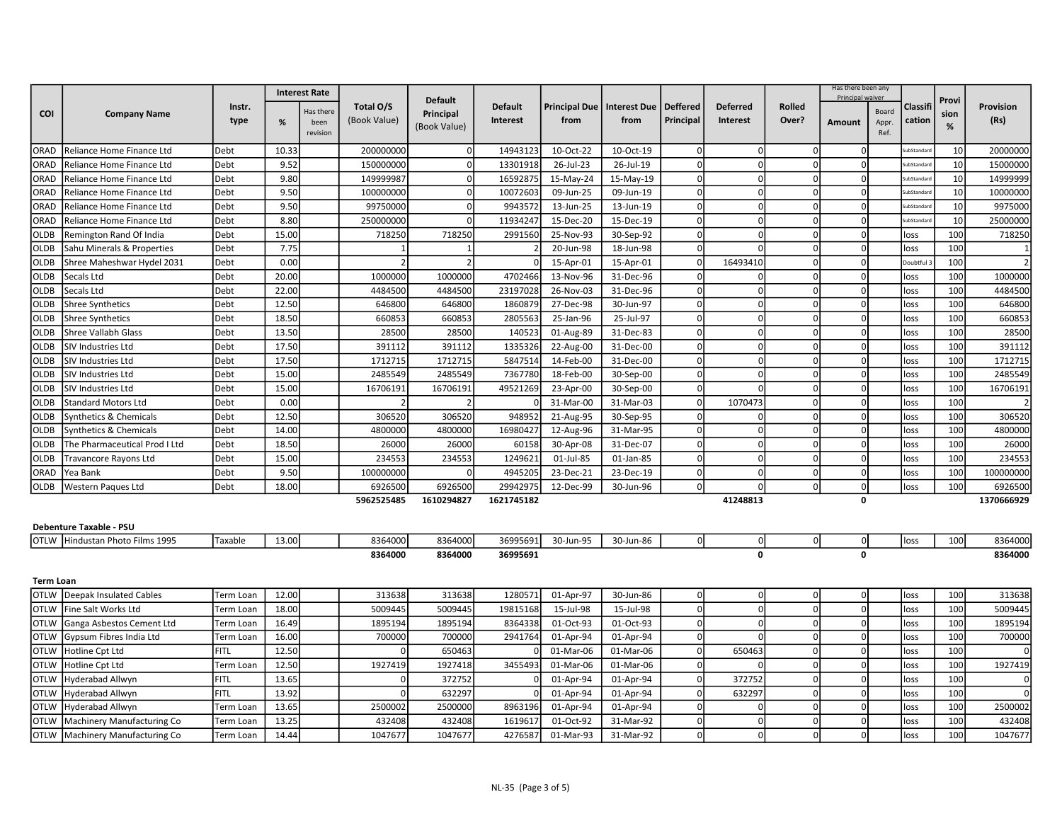|                  |                                                                   |             |       | <b>Interest Rate</b> |              |                |                |                              |           |                 |                 |               | Has there been any |               |             |       |            |
|------------------|-------------------------------------------------------------------|-------------|-------|----------------------|--------------|----------------|----------------|------------------------------|-----------|-----------------|-----------------|---------------|--------------------|---------------|-------------|-------|------------|
|                  |                                                                   | Instr.      |       |                      | Total O/S    | <b>Default</b> | <b>Default</b> | Principal Due   Interest Due |           | <b>Deffered</b> | <b>Deferred</b> | <b>Rolled</b> | Principal waiver   |               | Classif     | Provi | Provision  |
| COI              | <b>Company Name</b>                                               | type        |       | Has there            | (Book Value) | Principal      | Interest       | from                         | from      | Principal       | Interest        | Over?         |                    | Board         | cation      | sion  | (Rs)       |
|                  |                                                                   |             | %     | been<br>revision     |              | (Book Value)   |                |                              |           |                 |                 |               | Amount             | Appr.<br>Ref. |             | %     |            |
| ORAD             | Reliance Home Finance Ltd                                         | Debt        | 10.33 |                      | 200000000    |                | 14943123       | 10-Oct-22                    | 10-Oct-19 |                 | $\Omega$        | $\Omega$      |                    |               | ubStandar   | 10    | 20000000   |
| ORAD             | Reliance Home Finance Ltd                                         | Debt        | 9.52  |                      | 150000000    | $\mathbf 0$    | 13301918       | 26-Jul-23                    | 26-Jul-19 | $\Omega$        | $\Omega$        | 0l            | $\Omega$           |               | ubStandard  | 10    | 15000000   |
| ORAD             | Reliance Home Finance Ltd                                         | Debt        | 9.80  |                      | 149999987    | $\Omega$       | 16592875       | 15-May-24                    | 15-May-19 | $\Omega$        | $\mathbf 0$     | 0l            | $\Omega$           |               | iubStandard | 10    | 14999999   |
| ORAD             | Reliance Home Finance Ltd                                         | Debt        | 9.50  |                      | 100000000    | $\mathbf{0}$   | 10072603       | 09-Jun-25                    | 09-Jun-19 |                 | $\Omega$        | $\Omega$      |                    |               | ubStandar   | 10    | 10000000   |
| ORAD             | Reliance Home Finance Ltd                                         | Debt        | 9.50  |                      | 99750000     | $\Omega$       | 9943572        | 13-Jun-25                    | 13-Jun-19 | $\Omega$        | $\Omega$        | 0             | $\Omega$           |               | ubStandar   | 10    | 9975000    |
| ORAD             | Reliance Home Finance Ltd                                         | Debt        | 8.80  |                      | 250000000    |                | 11934247       | 15-Dec-20                    | 15-Dec-19 |                 | $\Omega$        | $\Omega$      | O                  |               | ubStandar   | 10    | 25000000   |
| <b>OLDB</b>      | Remington Rand Of India                                           | Debt        | 15.00 |                      | 718250       | 718250         | 2991560        | 25-Nov-93                    | 30-Sep-92 |                 |                 | $\Omega$      |                    |               | loss        | 100   | 718250     |
| <b>OLDB</b>      | Sahu Minerals & Properties                                        | Debt        | 7.75  |                      |              |                |                | 20-Jun-98                    | 18-Jun-98 | $\Omega$        |                 | 0l            | $\Omega$           |               | loss        | 100   |            |
| <b>OLDB</b>      | Shree Maheshwar Hydel 2031                                        | Debt        | 0.00  |                      |              | $\mathcal{I}$  |                | 15-Apr-01                    | 15-Apr-01 | $\Omega$        | 16493410        | 0l            | $\Omega$           |               | Doubtful    | 100   |            |
| <b>OLDB</b>      | Secals Ltd                                                        | Debt        | 20.00 |                      | 1000000      | 1000000        | 4702466        | 13-Nov-96                    | 31-Dec-96 | $\Omega$        | $\Omega$        | 0l            | $\Omega$           |               | loss        | 100   | 1000000    |
| <b>OLDB</b>      | Secals Ltd                                                        | Debt        | 22.00 |                      | 4484500      | 4484500        | 23197028       | 26-Nov-03                    | 31-Dec-96 | $\Omega$        | $\Omega$        | $\Omega$      | $\Omega$           |               | loss        | 100   | 4484500    |
| <b>OLDB</b>      | <b>Shree Synthetics</b>                                           | Debt        | 12.50 |                      | 646800       | 646800         | 1860879        | 27-Dec-98                    | 30-Jun-97 | $\Omega$        | $\Omega$        | 0l            | $\Omega$           |               | loss        | 100   | 646800     |
| OLDB             | Shree Synthetics                                                  | Debt        | 18.50 |                      | 660853       | 660853         | 2805563        | 25-Jan-96                    | 25-Jul-97 |                 | $\Omega$        | $\Omega$      |                    |               | loss        | 100   | 660853     |
| <b>OLDB</b>      | Shree Vallabh Glass                                               | Debt        | 13.50 |                      | 28500        | 28500          | 140523         | 01-Aug-89                    | 31-Dec-83 | C               | $\Omega$        | 0l            | $\Omega$           |               | loss        | 100   | 28500      |
| <b>OLDB</b>      | SIV Industries Ltd                                                | Debt        | 17.50 |                      | 391112       | 391112         | 1335326        | 22-Aug-00                    | 31-Dec-00 | $\Omega$        | $\Omega$        | 0l            | $\Omega$           |               | loss        | 100   | 391112     |
| <b>OLDB</b>      | SIV Industries Ltd                                                | Debt        | 17.50 |                      | 1712715      | 1712715        | 5847514        | 14-Feb-00                    | 31-Dec-00 | $\Omega$        | $\mathbf 0$     | 0l            | $\Omega$           |               | loss        | 100   | 1712715    |
| <b>OLDB</b>      | SIV Industries Ltd                                                | Debt        | 15.00 |                      | 2485549      | 2485549        | 7367780        | 18-Feb-00                    | 30-Sep-00 | $\Omega$        | $\Omega$        | $\Omega$      | $\Omega$           |               | loss        | 100   | 2485549    |
| <b>OLDB</b>      | SIV Industries Ltd                                                | Debt        | 15.00 |                      | 16706191     | 16706191       | 49521269       | 23-Apr-00                    | 30-Sep-00 |                 |                 | 0l            | U                  |               | loss        | 100   | 16706191   |
| <b>OLDB</b>      | <b>Standard Motors Ltd</b>                                        | Debt        | 0.00  |                      |              |                |                | 31-Mar-00                    | 31-Mar-03 |                 | 1070473         | 0l            | <sub>n</sub>       |               | loss        | 100   |            |
| OLDB             | Synthetics & Chemicals                                            | Debt        | 12.50 |                      | 306520       | 306520         | 948952         | 21-Aug-95                    | 30-Sep-95 | $\Omega$        |                 | $\Omega$      |                    |               | loss        | 100   | 306520     |
| <b>OLDB</b>      | Synthetics & Chemicals                                            | Debt        | 14.00 |                      | 4800000      | 4800000        | 16980427       | 12-Aug-96                    | 31-Mar-95 | $\Omega$        | $\Omega$        | 0             | $\Omega$           |               | loss        | 100   | 4800000    |
| <b>OLDB</b>      | The Pharmaceutical Prod I Ltd                                     | Debt        | 18.50 |                      | 26000        | 26000          | 60158          | 30-Apr-08                    | 31-Dec-07 | $\Omega$        | $\mathbf 0$     | 0l            | $\Omega$           |               | loss        | 100   | 26000      |
| <b>OLDB</b>      | Travancore Rayons Ltd                                             | Debt        | 15.00 |                      | 234553       | 234553         | 1249621        | 01-Jul-85                    | 01-Jan-85 | $\Omega$        | $\Omega$        | 0l            | $\Omega$           |               | loss        | 100   | 234553     |
| ORAD             | Yea Bank                                                          | Debt        | 9.50  |                      | 100000000    |                | 4945205        | 23-Dec-21                    | 23-Dec-19 | $\Omega$        | $\Omega$        | 0l            | $\Omega$           |               | loss        | 100   | 100000000  |
| <b>OLDB</b>      | Western Paques Ltd                                                | Debt        | 18.00 |                      | 6926500      | 6926500        | 29942975       | 12-Dec-99                    | 30-Jun-96 |                 |                 | οl            | $\Omega$           |               | loss        | 100   | 6926500    |
|                  |                                                                   |             |       |                      | 5962525485   | 1610294827     | 1621745182     |                              |           |                 | 41248813        |               | 0                  |               |             |       | 1370666929 |
|                  |                                                                   |             |       |                      |              |                |                |                              |           |                 |                 |               |                    |               |             |       |            |
|                  | <b>Debenture Taxable - PSU</b><br>OTLW Hindustan Photo Films 1995 | Taxable     | 13.00 |                      | 8364000      | 8364000        | 36995691       | 30-Jun-95                    | 30-Jun-86 | $\Omega$        | $\overline{0}$  | 0             | οI                 |               |             | 100   | 8364000    |
|                  |                                                                   |             |       |                      | 8364000      | 8364000        | 36995691       |                              |           |                 | $\Omega$        |               | 0                  |               | loss        |       | 8364000    |
|                  |                                                                   |             |       |                      |              |                |                |                              |           |                 |                 |               |                    |               |             |       |            |
| <b>Term Loan</b> |                                                                   |             |       |                      |              |                |                |                              |           |                 |                 |               |                    |               |             |       |            |
| <b>OTLW</b>      | Deepak Insulated Cables                                           | Term Loan   | 12.00 |                      | 313638       | 313638         | 1280571        | 01-Apr-97                    | 30-Jun-86 | $\overline{0}$  | $\Omega$        | 0l            | $\Omega$           |               | loss        | 100   | 313638     |
| <b>OTLW</b>      | Fine Salt Works Ltd                                               | Term Loan   | 18.00 |                      | 5009445      | 5009445        | 19815168       | 15-Jul-98                    | 15-Jul-98 | $\Omega$        | $\Omega$        | $\Omega$      | $\Omega$           |               | loss        | 100   | 5009445    |
| <b>OTLW</b>      | Ganga Asbestos Cement Ltd                                         | Term Loan   | 16.49 |                      | 1895194      | 1895194        | 8364338        | 01-Oct-93                    | 01-Oct-93 | $\Omega$        | $\Omega$        | 0l            | $\Omega$           |               | loss        | 100   | 1895194    |
| <b>OTLW</b>      | Gypsum Fibres India Ltd                                           | Term Loan   | 16.00 |                      | 700000       | 700000         | 2941764        | 01-Apr-94                    | 01-Apr-94 |                 |                 | $\Omega$      |                    |               | loss        | 100   | 700000     |
| <b>OTLW</b>      | Hotline Cpt Ltd                                                   | <b>FITL</b> | 12.50 |                      |              | 650463         |                | 01-Mar-06                    | 01-Mar-06 | 0               | 650463          | $\Omega$      |                    |               | loss        | 100   |            |
| <b>OTLW</b>      | Hotline Cpt Ltd                                                   | Term Loan   | 12.50 |                      | 1927419      | 1927418        | 3455493        | 01-Mar-06                    | 01-Mar-06 | $\Omega$        |                 | 0l            | $\Omega$           |               | loss        | 100   | 1927419    |
| <b>OTLW</b>      | Hyderabad Allwyn                                                  | FITL        | 13.65 |                      | $\Omega$     | 372752         | $\Omega$       | 01-Apr-94                    | 01-Apr-94 | $\Omega$        | 372752          | 0l            | $\Omega$           |               | loss        | 100   | 0          |
| <b>OTLW</b>      | Hyderabad Allwyn                                                  | FITL        | 13.92 |                      | $\Omega$     | 632297         |                | 01-Apr-94                    | 01-Apr-94 | $\Omega$        | 632297          | 0l            | $\Omega$           |               | loss        | 100   |            |
| <b>OTLW</b>      | Hyderabad Allwyn                                                  | Term Loan   | 13.65 |                      | 2500002      | 2500000        | 8963196        | 01-Apr-94                    | 01-Apr-94 | $\Omega$        | $\Omega$        | $\Omega$      | $\Omega$           |               | loss        | 100   | 2500002    |
| <b>OTLW</b>      | Machinery Manufacturing Co                                        | Term Loan   | 13.25 |                      | 432408       | 432408         | 161961         | 01-Oct-92                    | 31-Mar-92 | $\Omega$        | $\Omega$        | 0             | O                  |               | loss        | 100   | 432408     |
| <b>OTLW</b>      | Machinery Manufacturing Co                                        | Term Loan   | 14.44 |                      | 1047677      | 1047677        | 4276587        | 01-Mar-93                    | 31-Mar-92 |                 |                 |               |                    |               | loss        | 100   | 1047677    |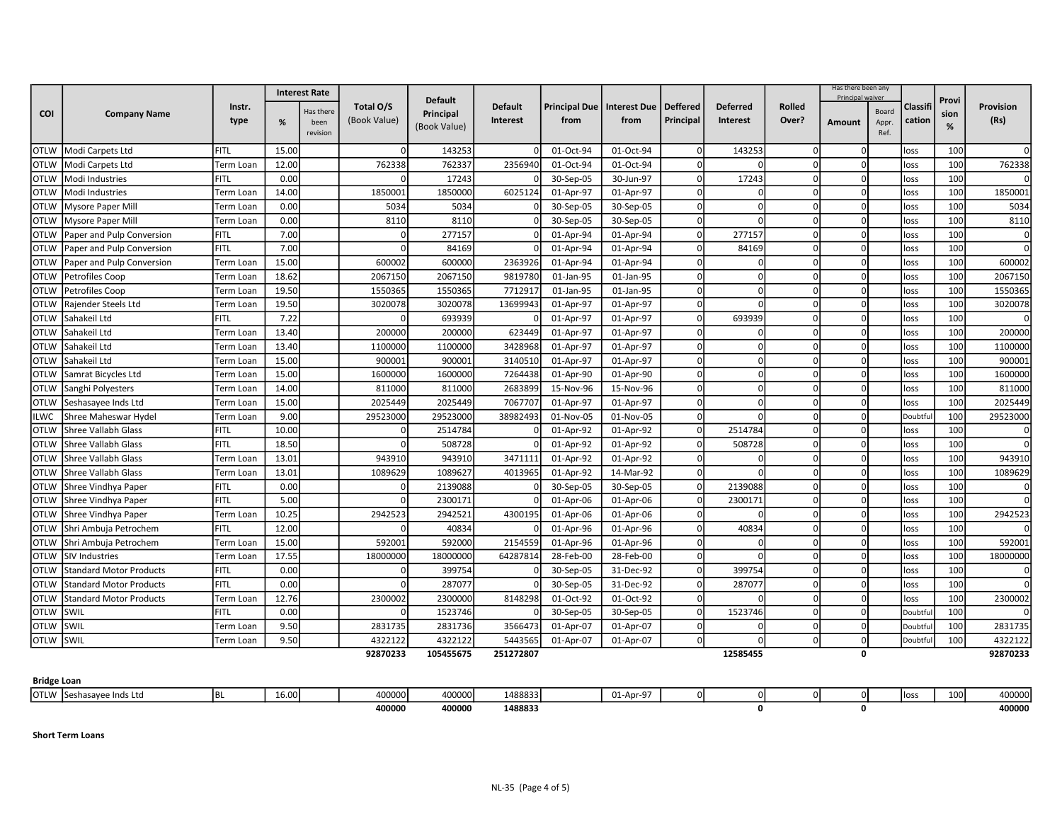|                    |                                | <b>Interest Rate</b> |       |                   |              |                  |                 |                              |           |                 |                 | Has there been any |                  |                |          |       |           |
|--------------------|--------------------------------|----------------------|-------|-------------------|--------------|------------------|-----------------|------------------------------|-----------|-----------------|-----------------|--------------------|------------------|----------------|----------|-------|-----------|
|                    |                                | Instr.               |       |                   | Total O/S    | <b>Default</b>   | <b>Default</b>  | Principal Due   Interest Due |           | <b>Deffered</b> | <b>Deferred</b> | <b>Rolled</b>      | Principal waiver |                | Classifi | Provi | Provision |
| <b>COI</b>         | <b>Company Name</b>            | type                 | %     | Has there<br>been | (Book Value) | <b>Principal</b> | <b>Interest</b> | from                         | from      | Principal       | <b>Interest</b> | Over?              | Amount           | Board<br>Appr. | cation   | sion  | (Rs)      |
|                    |                                |                      |       | revision          |              | (Book Value)     |                 |                              |           |                 |                 |                    |                  | Ref.           |          | %     |           |
| OTLW               | Modi Carpets Ltd               | FITL                 | 15.00 |                   | $\Omega$     | 143253           | $\Omega$        | 01-Oct-94                    | 01-Oct-94 | $\Omega$        | 143253          | -01                | n                |                | loss     | 100   |           |
| <b>OTLW</b>        | Modi Carpets Ltd               | Term Loan            | 12.00 |                   | 762338       | 762337           | 2356940         | 01-Oct-94                    | 01-Oct-94 |                 |                 | $\Omega$           | n                |                | loss     | 100   | 762338    |
| <b>OTLW</b>        | Modi Industries                | <b>FITL</b>          | 0.00  |                   |              | 17243            |                 | 30-Sep-05                    | 30-Jun-97 | $\Omega$        | 17243           | $\Omega$           |                  |                | loss     | 100   |           |
| <b>OTLW</b>        | Modi Industries                | Term Loan            | 14.00 |                   | 1850001      | 1850000          | 6025124         | 01-Apr-97                    | 01-Apr-97 | $\Omega$        | $\Omega$        | $\Omega$           | $\Omega$         |                | loss     | 100   | 1850001   |
| <b>OTLW</b>        | Mysore Paper Mill              | Term Loan            | 0.00  |                   | 5034         | 5034             |                 | 30-Sep-05                    | 30-Sep-05 | $\Omega$        | $\Omega$        | $\Omega$           | $\Omega$         |                | loss     | 100   | 5034      |
| <b>OTLW</b>        | <b>Mysore Paper Mill</b>       | Term Loan            | 0.00  |                   | 8110         | 8110             |                 | 30-Sep-05                    | 30-Sep-05 | $\Omega$        | $\Omega$        | 0                  | $\Omega$         |                | loss     | 100   | 8110      |
| <b>OTLW</b>        | Paper and Pulp Conversion      | <b>FITL</b>          | 7.00  |                   |              | 277157           | $\sqrt{ }$      | 01-Apr-94                    | 01-Apr-94 | $\Omega$        | 277157          | $\Omega$           | $\Omega$         |                | loss     | 100   | $\Omega$  |
| <b>OTLW</b>        | Paper and Pulp Conversion      | <b>FITL</b>          | 7.00  |                   |              | 84169            | $\sqrt{ }$      | 01-Apr-94                    | 01-Apr-94 | $\Omega$        | 84169           | $\Omega$           | $\Omega$         |                | loss     | 100   |           |
| <b>OTLW</b>        | Paper and Pulp Conversion      | Term Loan            | 15.00 |                   | 600002       | 600000           | 2363926         | 01-Apr-94                    | 01-Apr-94 | $\Omega$        | $\Omega$        | $\overline{0}$     | O                |                | loss     | 100   | 600002    |
| <b>OTLW</b>        | Petrofiles Coop                | Term Loan            | 18.62 |                   | 2067150      | 2067150          | 9819780         | 01-Jan-95                    | 01-Jan-95 | $\Omega$        | $\Omega$        | $\Omega$           |                  |                | loss     | 100   | 2067150   |
| <b>OTLW</b>        | Petrofiles Coop                | Term Loan            | 19.50 |                   | 1550365      | 1550365          | 7712917         | 01-Jan-95                    | 01-Jan-95 | $\Omega$        | $\Omega$        | $\Omega$           | n                |                | loss     | 100   | 1550365   |
| <b>OTLW</b>        | Rajender Steels Ltd            | Term Loan            | 19.50 |                   | 3020078      | 3020078          | 13699943        | 01-Apr-97                    | 01-Apr-97 | $\Omega$        | $\Omega$        | $\Omega$           | $\Omega$         |                | loss     | 100   | 3020078   |
| <b>OTLW</b>        | Sahakeil Ltd                   | <b>FITL</b>          | 7.22  |                   |              | 693939           |                 | 01-Apr-97                    | 01-Apr-97 |                 | 693939          | $\Omega$           |                  |                | loss     | 100   |           |
| <b>OTLW</b>        | Sahakeil Ltd                   | Term Loan            | 13.40 |                   | 200000       | 200000           | 623449          | 01-Apr-97                    | 01-Apr-97 | $\Omega$        | $\Omega$        | $\Omega$           | ŋ                |                | loss     | 100   | 200000    |
| <b>OTLW</b>        | Sahakeil Ltd                   | Term Loan            | 13.40 |                   | 1100000      | 1100000          | 3428968         | 01-Apr-97                    | 01-Apr-97 | $\Omega$        | $\Omega$        | $\Omega$           | $\Omega$         |                | loss     | 100   | 1100000   |
| <b>OTLW</b>        | Sahakeil Ltd                   | Term Loan            | 15.00 |                   | 900001       | 900001           | 3140510         | 01-Apr-97                    | 01-Apr-97 |                 |                 | $\Omega$           |                  |                | loss     | 100   | 900001    |
| <b>OTLW</b>        | Samrat Bicycles Ltd            | Term Loan            | 15.00 |                   | 1600000      | 1600000          | 7264438         | 01-Apr-90                    | 01-Apr-90 | $\Omega$        | $\Omega$        | $\Omega$           | n                |                | loss     | 100   | 1600000   |
| <b>OTLW</b>        | Sanghi Polyesters              | Term Loan            | 14.00 |                   | 811000       | 811000           | 2683899         | 15-Nov-96                    | 15-Nov-96 | $\Omega$        | $\Omega$        | $\Omega$           | n                |                | loss     | 100   | 811000    |
| <b>OTLW</b>        | Seshasayee Inds Ltd            | Term Loan            | 15.00 |                   | 2025449      | 2025449          | 7067707         | 01-Apr-97                    | 01-Apr-97 |                 | $\Omega$        | $\Omega$           |                  |                | loss     | 100   | 2025449   |
| <b>ILWC</b>        | Shree Maheswar Hydel           | Term Loan            | 9.00  |                   | 29523000     | 29523000         | 38982493        | 01-Nov-05                    | 01-Nov-05 | $\Omega$        |                 | $\overline{0}$     | U                |                | Doubtfu  | 100   | 29523000  |
| <b>OTLW</b>        | <b>Shree Vallabh Glass</b>     | <b>FITL</b>          | 10.00 |                   |              | 2514784          |                 | 01-Apr-92                    | 01-Apr-92 | $\Omega$        | 2514784         | $\Omega$           | $\Omega$         |                | loss     | 100   |           |
| <b>OTLW</b>        | <b>Shree Vallabh Glass</b>     | <b>FITL</b>          | 18.50 |                   |              | 508728           |                 | 01-Apr-92                    | 01-Apr-92 |                 | 508728          | $\Omega$           |                  |                | loss     | 100   |           |
| <b>OTLW</b>        | <b>Shree Vallabh Glass</b>     | Term Loan            | 13.01 |                   | 943910       | 943910           | 3471111         | 01-Apr-92                    | 01-Apr-92 | $\Omega$        | $\Omega$        | $\overline{0}$     | O                |                | loss     | 100   | 943910    |
| <b>OTLW</b>        | <b>Shree Vallabh Glass</b>     | Term Loan            | 13.01 |                   | 1089629      | 1089627          | 4013965         | 01-Apr-92                    | 14-Mar-92 | $\Omega$        |                 | n                  | ŋ                |                | loss     | 100   | 1089629   |
| <b>OTLW</b>        | Shree Vindhya Paper            | <b>FITL</b>          | 0.00  |                   |              | 2139088          |                 | 30-Sep-05                    | 30-Sep-05 |                 | 2139088         | 0                  |                  |                | loss     | 100   |           |
| <b>OTLW</b>        | Shree Vindhya Paper            | <b>FITL</b>          | 5.00  |                   |              | 2300171          |                 | 01-Apr-06                    | 01-Apr-06 | $\Omega$        | 2300171         | 0                  | O                |                | loss     | 100   |           |
| <b>OTLW</b>        | Shree Vindhya Paper            | Term Loan            | 10.25 |                   | 2942523      | 2942521          | 4300195         | 01-Apr-06                    | 01-Apr-06 | $\Omega$        | $\Omega$        | $\Omega$           | $\Omega$         |                | loss     | 100   | 2942523   |
| <b>OTLW</b>        | Shri Ambuja Petrochem          | <b>FITL</b>          | 12.00 |                   |              | 40834            |                 | 01-Apr-96                    | 01-Apr-96 | $\Omega$        | 40834           | $\Omega$           |                  |                | loss     | 100   |           |
| <b>OTLW</b>        | Shri Ambuja Petrochem          | Term Loan            | 15.00 |                   | 59200:       | 592000           | 2154559         | 01-Apr-96                    | 01-Apr-96 | $\Omega$        | $\Omega$        | 0                  |                  |                | loss     | 100   | 592001    |
| <b>OTLW</b>        | <b>SIV Industries</b>          | Term Loan            | 17.55 |                   | 18000000     | 18000000         | 64287814        | 28-Feb-00                    | 28-Feb-00 | $\Omega$        | $\Omega$        | $\Omega$           | U                |                | loss     | 100   | 18000000  |
| <b>OTLW</b>        | <b>Standard Motor Products</b> | <b>FITL</b>          | 0.00  |                   |              | 399754           |                 | 30-Sep-05                    | 31-Dec-92 | $\Omega$        | 399754          | $\Omega$           | $\Omega$         |                | loss     | 100   |           |
| <b>OTLW</b>        | <b>Standard Motor Products</b> | <b>FITL</b>          | 0.00  |                   |              | 287077           |                 | 30-Sep-05                    | 31-Dec-92 | $\Omega$        | 287077          | $\overline{0}$     | O                |                | loss     | 100   |           |
| <b>OTLW</b>        | <b>Standard Motor Products</b> | Term Loan            | 12.76 |                   | 2300002      | 2300000          | 8148298         | 01-Oct-92                    | 01-Oct-92 | $\Omega$        |                 | -ol                | O                |                | loss     | 100   | 2300002   |
| <b>OTLW</b>        | SWIL                           | <b>FITL</b>          | 0.00  |                   |              | 1523746          |                 | 30-Sep-05                    | 30-Sep-05 | $\Omega$        | 1523746         | $\Omega$           | $\Omega$         |                | Doubtfu  | 100   |           |
| <b>OTLW</b>        | SWIL                           | Term Loan            | 9.50  |                   | 2831735      | 2831736          | 3566473         | 01-Apr-07                    | 01-Apr-07 | $\Omega$        | $\Omega$        | $\overline{0}$     | $\Omega$         |                | Doubtfu  | 100   | 2831735   |
| <b>OTLW</b>        | SWIL                           | <b>Term Loan</b>     | 9.50  |                   | 4322122      | 4322122          | 5443565         | 01-Apr-07                    | 01-Apr-07 | $\Omega$        |                 | 0                  | O                |                | Doubtfu  | 100   | 4322122   |
|                    |                                |                      |       |                   | 92870233     | 105455675        | 251272807       |                              |           |                 | 12585455        |                    | 0                |                |          |       | 92870233  |
|                    |                                |                      |       |                   |              |                  |                 |                              |           |                 |                 |                    |                  |                |          |       |           |
| <b>Bridge Loan</b> |                                |                      |       |                   |              |                  |                 |                              |           |                 |                 |                    |                  |                |          |       |           |
|                    | OTLW Seshasayee Inds Ltd       | BL                   | 16.00 |                   | 400000       | 400000           | 1488833         |                              | 01-Apr-97 | $\Omega$        | <sub>0</sub>    | 0l                 | οI               |                | loss     | 100   | 400000    |
|                    |                                |                      |       |                   | 400000       | 400000           | 1488833         |                              |           |                 | $\Omega$        |                    | O                |                |          |       | 400000    |